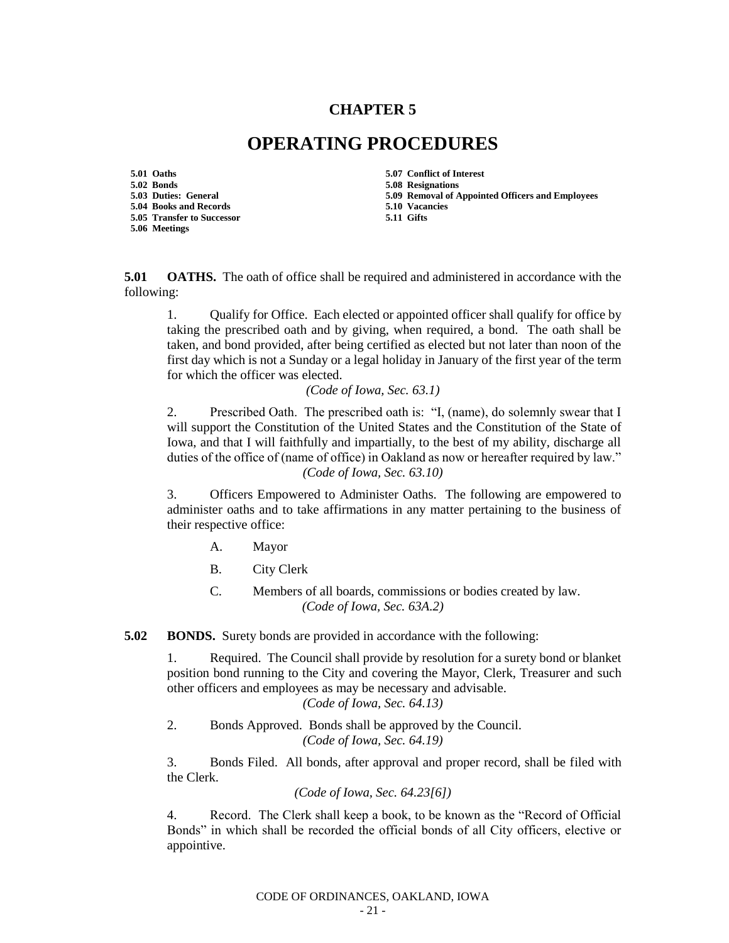## **CHAPTER 5**

## **OPERATING PROCEDURES**

**5.01 Oaths 5.07 Conflict of Interest 5.02 Bonds 5.08 Resignations 5.04 Books and Records 5.10 Vacancies 5.05 Transfer to Successor 5.06 Meetings**

- 
- **5.09 Removal of Appointed Officers and Employees**
- 
- 

**5.01 OATHS.** The oath of office shall be required and administered in accordance with the following:

1. Qualify for Office. Each elected or appointed officer shall qualify for office by taking the prescribed oath and by giving, when required, a bond. The oath shall be taken, and bond provided, after being certified as elected but not later than noon of the first day which is not a Sunday or a legal holiday in January of the first year of the term for which the officer was elected.

*(Code of Iowa, Sec. 63.1)*

2. Prescribed Oath. The prescribed oath is: "I, (name), do solemnly swear that I will support the Constitution of the United States and the Constitution of the State of Iowa, and that I will faithfully and impartially, to the best of my ability, discharge all duties of the office of (name of office) in Oakland as now or hereafter required by law." *(Code of Iowa, Sec. 63.10)*

3. Officers Empowered to Administer Oaths. The following are empowered to administer oaths and to take affirmations in any matter pertaining to the business of their respective office:

- A. Mayor
- B. City Clerk
- C. Members of all boards, commissions or bodies created by law. *(Code of Iowa, Sec. 63A.2)*

**5.02 BONDS.** Surety bonds are provided in accordance with the following:

1. Required. The Council shall provide by resolution for a surety bond or blanket position bond running to the City and covering the Mayor, Clerk, Treasurer and such other officers and employees as may be necessary and advisable.

*(Code of Iowa, Sec. 64.13)*

2. Bonds Approved. Bonds shall be approved by the Council. *(Code of Iowa, Sec. 64.19)*

3. Bonds Filed. All bonds, after approval and proper record, shall be filed with the Clerk.

*(Code of Iowa, Sec. 64.23[6])*

4. Record. The Clerk shall keep a book, to be known as the "Record of Official Bonds" in which shall be recorded the official bonds of all City officers, elective or appointive.

CODE OF ORDINANCES, OAKLAND, IOWA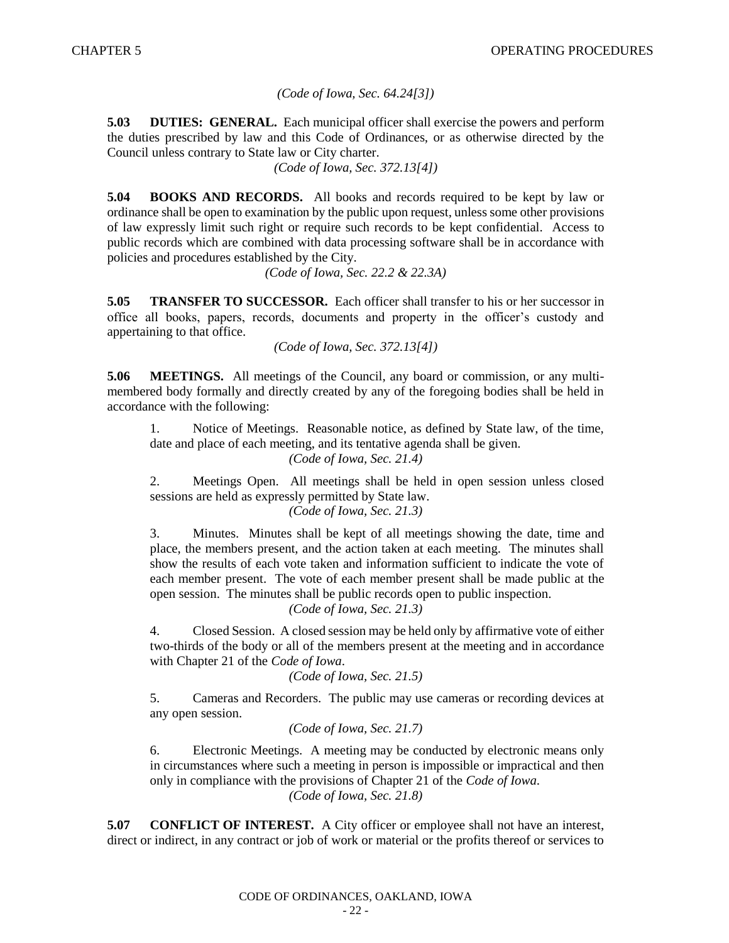## *(Code of Iowa, Sec. 64.24[3])*

**5.03 DUTIES: GENERAL.** Each municipal officer shall exercise the powers and perform the duties prescribed by law and this Code of Ordinances, or as otherwise directed by the Council unless contrary to State law or City charter.

*(Code of Iowa, Sec. 372.13[4])*

**5.04 BOOKS AND RECORDS.** All books and records required to be kept by law or ordinance shall be open to examination by the public upon request, unless some other provisions of law expressly limit such right or require such records to be kept confidential. Access to public records which are combined with data processing software shall be in accordance with policies and procedures established by the City.

*(Code of Iowa, Sec. 22.2 & 22.3A)*

**5.05 TRANSFER TO SUCCESSOR.** Each officer shall transfer to his or her successor in office all books, papers, records, documents and property in the officer's custody and appertaining to that office.

*(Code of Iowa, Sec. 372.13[4])*

**5.06 MEETINGS.** All meetings of the Council, any board or commission, or any multimembered body formally and directly created by any of the foregoing bodies shall be held in accordance with the following:

1. Notice of Meetings. Reasonable notice, as defined by State law, of the time, date and place of each meeting, and its tentative agenda shall be given.

*(Code of Iowa, Sec. 21.4)*

2. Meetings Open. All meetings shall be held in open session unless closed sessions are held as expressly permitted by State law.

*(Code of Iowa, Sec. 21.3)*

3. Minutes. Minutes shall be kept of all meetings showing the date, time and place, the members present, and the action taken at each meeting. The minutes shall show the results of each vote taken and information sufficient to indicate the vote of each member present. The vote of each member present shall be made public at the open session. The minutes shall be public records open to public inspection. *(Code of Iowa, Sec. 21.3)*

4. Closed Session. A closed session may be held only by affirmative vote of either two-thirds of the body or all of the members present at the meeting and in accordance with Chapter 21 of the *Code of Iowa*.

```
(Code of Iowa, Sec. 21.5)
```
5. Cameras and Recorders. The public may use cameras or recording devices at any open session.

```
(Code of Iowa, Sec. 21.7)
```
6. Electronic Meetings. A meeting may be conducted by electronic means only in circumstances where such a meeting in person is impossible or impractical and then only in compliance with the provisions of Chapter 21 of the *Code of Iowa*. *(Code of Iowa, Sec. 21.8)*

**5.07 CONFLICT OF INTEREST.** A City officer or employee shall not have an interest, direct or indirect, in any contract or job of work or material or the profits thereof or services to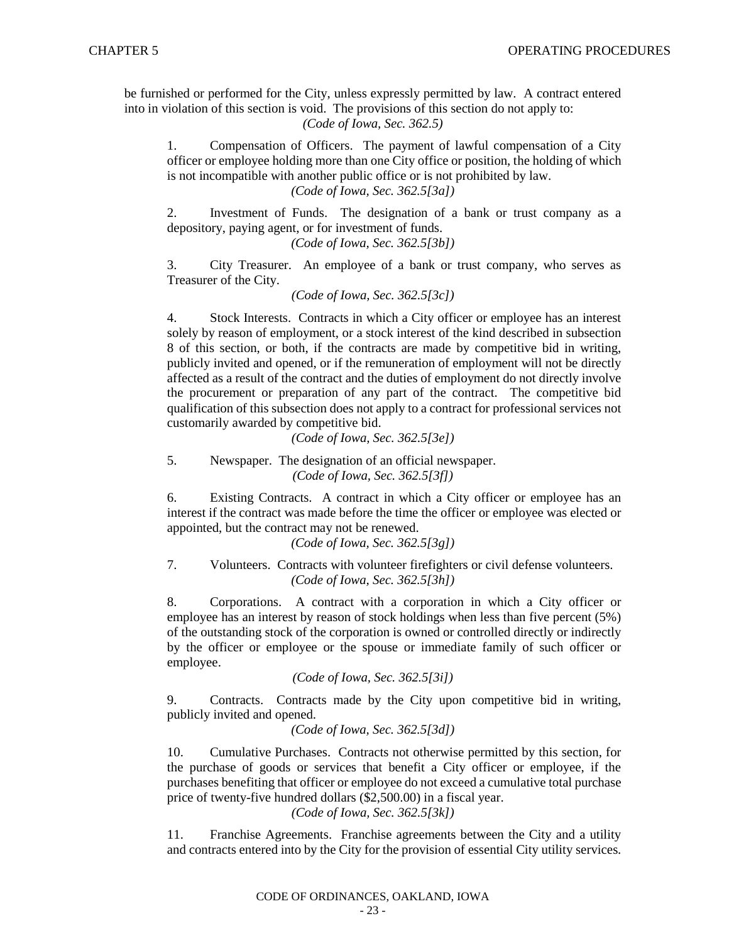be furnished or performed for the City, unless expressly permitted by law. A contract entered into in violation of this section is void. The provisions of this section do not apply to: *(Code of Iowa, Sec. 362.5)*

1. Compensation of Officers. The payment of lawful compensation of a City officer or employee holding more than one City office or position, the holding of which is not incompatible with another public office or is not prohibited by law. *(Code of Iowa, Sec. 362.5[3a])*

2. Investment of Funds. The designation of a bank or trust company as a depository, paying agent, or for investment of funds.

*(Code of Iowa, Sec. 362.5[3b])*

3. City Treasurer. An employee of a bank or trust company, who serves as Treasurer of the City.

*(Code of Iowa, Sec. 362.5[3c])*

4. Stock Interests. Contracts in which a City officer or employee has an interest solely by reason of employment, or a stock interest of the kind described in subsection 8 of this section, or both, if the contracts are made by competitive bid in writing, publicly invited and opened, or if the remuneration of employment will not be directly affected as a result of the contract and the duties of employment do not directly involve the procurement or preparation of any part of the contract. The competitive bid qualification of this subsection does not apply to a contract for professional services not customarily awarded by competitive bid.

*(Code of Iowa, Sec. 362.5[3e])*

5. Newspaper. The designation of an official newspaper. *(Code of Iowa, Sec. 362.5[3f])*

6. Existing Contracts. A contract in which a City officer or employee has an interest if the contract was made before the time the officer or employee was elected or appointed, but the contract may not be renewed.

*(Code of Iowa, Sec. 362.5[3g])*

7. Volunteers. Contracts with volunteer firefighters or civil defense volunteers. *(Code of Iowa, Sec. 362.5[3h])*

8. Corporations. A contract with a corporation in which a City officer or employee has an interest by reason of stock holdings when less than five percent (5%) of the outstanding stock of the corporation is owned or controlled directly or indirectly by the officer or employee or the spouse or immediate family of such officer or employee.

*(Code of Iowa, Sec. 362.5[3i])*

9. Contracts. Contracts made by the City upon competitive bid in writing, publicly invited and opened.

*(Code of Iowa, Sec. 362.5[3d])*

10. Cumulative Purchases. Contracts not otherwise permitted by this section, for the purchase of goods or services that benefit a City officer or employee, if the purchases benefiting that officer or employee do not exceed a cumulative total purchase price of twenty-five hundred dollars (\$2,500.00) in a fiscal year.

*(Code of Iowa, Sec. 362.5[3k])*

11. Franchise Agreements. Franchise agreements between the City and a utility and contracts entered into by the City for the provision of essential City utility services.

CODE OF ORDINANCES, OAKLAND, IOWA